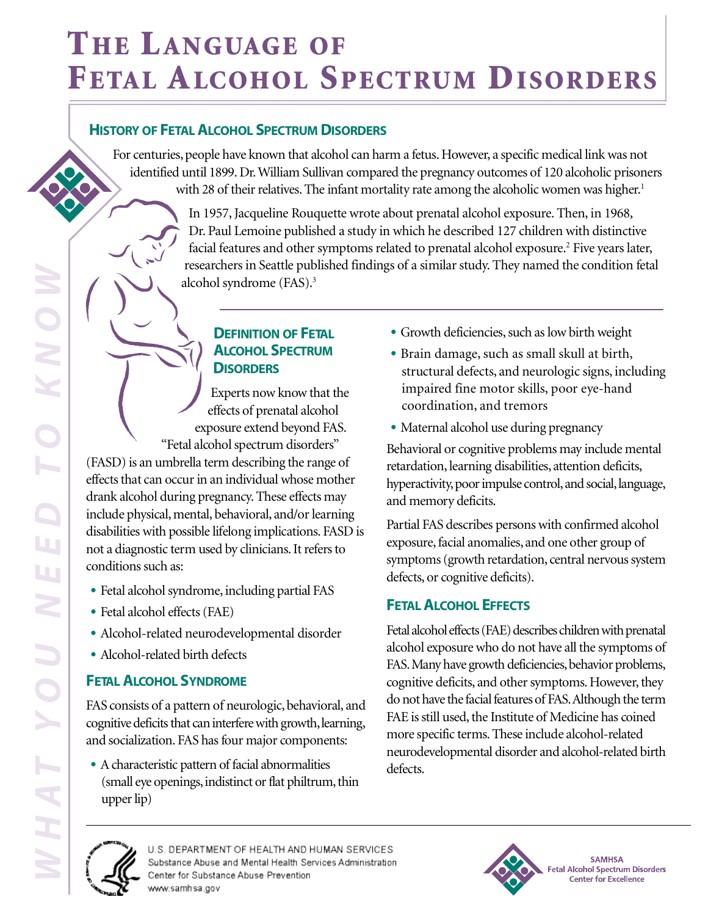## THE LANGUAGE OF FETAL ALCOHOL SPECTRUM DISORDERS

#### **HISTORY OF FETALALCOHOL SPECTRUM DISORDERS**

For centuries, people have known that alcohol can harm a fetus. However, a specific medical link was not identified until 1899.Dr.William Sullivan compared the pregnancy outcomes of 120 alcoholic prisoners with 28 of their relatives. The infant mortality rate among the alcoholic women was higher.<sup>1</sup>

> In 1957,Jacqueline Rouquette wrote about prenatal alcohol exposure. Then, in 1968, Dr. Paul Lemoine published a study in which he described 127 children with distinctive facial features and other symptoms related to prenatal alcohol exposure. <sup>2</sup> Five years later, researchers in Seattle published findings of a similar study. They named the condition fetal alcohol syndrome (FAS). 3

#### **DEFINITION OF FETAL ALCOHOL SPECTRUM DISORDERS**

Experts now know that the effects of prenatal alcohol exposure extend beyond FAS. "Fetal alcohol spectrum disorders" (FASD) is an umbrella term describing the range of effects that can occur in an individual whose mother drank alcohol during pregnancy.These effects may include physical, mental, behavioral, and/or learning disabilities with possible lifelong implications. FASD is not a diagnostic term used by clinicians. It refers to conditions such as:

- Fetal alcohol syndrome, including partial FAS
- Fetal alcohol effects (FAE)
- **•** Alcohol-related neurodevelopmental disorder
- **•** Alcohol-related birth defects

#### **FETALALCOHOL SYNDROME**

FAS consists of a pattern of neurologic, behavioral, and cognitive deficits that can interfere with growth, learning, and socialization. FAS has four major components:

**•** Acharacteristic pattern of facial abnormalities (small eye openings, indistinct or flat philtrum, thin upperlip)

- Growth deficiencies, such as low birth weight
- **•** Brain damage, such as small skull at birth, structural defects, and neurologic signs, including impaired fine motor skills, poor eye-hand coordination, and tremors
- **•** Maternal alcohol use during pregnancy

Behavioral or cognitive problems may include mental retardation, learning disabilities, attention deficits, hyperactivity, poor impulse control, and social, language, and memory deficits.

Partial FAS describes persons with confirmed alcohol exposure, facial anomalies, and one other group of symptoms (growth retardation, central nervous system defects, or cognitive deficits).

#### **FETALALCOHOL EFFECTS**

Fetal alcohol effects (FAE) describes children with prenatal alcohol exposure who do not have all the symptoms of FAS. Many have growth deficiencies, behavior problems, cognitive deficits, and other symptoms. However, they do not have the facial features of FAS. Although the term FAE is still used, the Institute of Medicine has coined more specific terms.These include alcohol-related neurodevelopmental disorder and alcohol-related birth defects.



U.S. DEPARTMENT OF HEALTH AND HUMAN SERVICES Substance Abuse and Mental Health Services Administration Center for Substance Abuse Prevention www.samhsa.gov



**SAMHSA Fetal Alcohol Spectrum Disorders Center for Excellence**